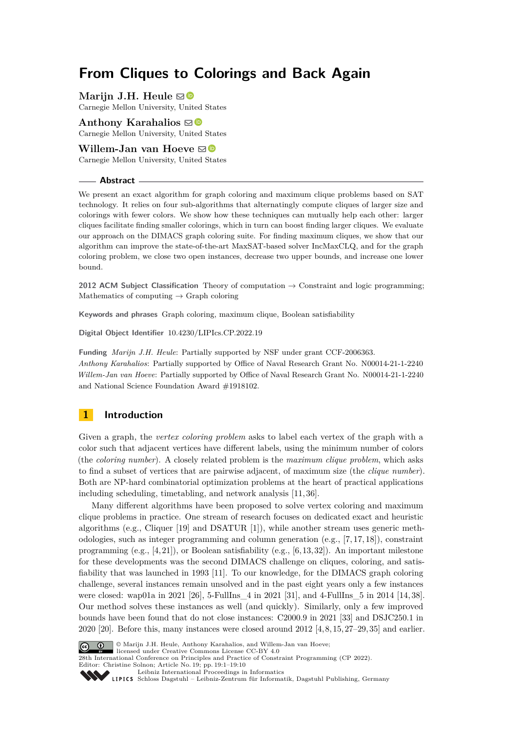# **From Cliques to Colorings and Back Again**

**Marijn J.H. Heule**  $\boxdot$ Carnegie Mellon University, United States

Anthony Karahalios  $\boxtimes$ Carnegie Mellon University, United States

## **Willem-Jan van Hoeve** ⊠<sup>®</sup>

Carnegie Mellon University, United States

#### **Abstract**

We present an exact algorithm for graph coloring and maximum clique problems based on SAT technology. It relies on four sub-algorithms that alternatingly compute cliques of larger size and colorings with fewer colors. We show how these techniques can mutually help each other: larger cliques facilitate finding smaller colorings, which in turn can boost finding larger cliques. We evaluate our approach on the DIMACS graph coloring suite. For finding maximum cliques, we show that our algorithm can improve the state-of-the-art MaxSAT-based solver IncMaxCLQ, and for the graph coloring problem, we close two open instances, decrease two upper bounds, and increase one lower bound.

**2012 ACM Subject Classification** Theory of computation → Constraint and logic programming; Mathematics of computing  $\rightarrow$  Graph coloring

**Keywords and phrases** Graph coloring, maximum clique, Boolean satisfiability

**Digital Object Identifier** [10.4230/LIPIcs.CP.2022.19](https://doi.org/10.4230/LIPIcs.CP.2022.19)

**Funding** *Marijn J.H. Heule*: Partially supported by NSF under grant CCF-2006363. *Anthony Karahalios*: Partially supported by Office of Naval Research Grant No. N00014-21-1-2240 *Willem-Jan van Hoeve*: Partially supported by Office of Naval Research Grant No. N00014-21-1-2240 and National Science Foundation Award #1918102.

## **1 Introduction**

Given a graph, the *vertex coloring problem* asks to label each vertex of the graph with a color such that adjacent vertices have different labels, using the minimum number of colors (the *coloring number*). A closely related problem is the *maximum clique problem*, which asks to find a subset of vertices that are pairwise adjacent, of maximum size (the *clique number*). Both are NP-hard combinatorial optimization problems at the heart of practical applications including scheduling, timetabling, and network analysis [\[11,](#page-8-0) [36\]](#page-9-0).

Many different algorithms have been proposed to solve vertex coloring and maximum clique problems in practice. One stream of research focuses on dedicated exact and heuristic algorithms (e.g., Cliquer [\[19\]](#page-8-1) and DSATUR [\[1\]](#page-8-2)), while another stream uses generic methodologies, such as integer programming and column generation (e.g., [\[7,](#page-8-3) [17,](#page-8-4) [18\]](#page-8-5)), constraint programming (e.g.,  $[4, 21]$  $[4, 21]$ ), or Boolean satisfiability (e.g.,  $[6, 13, 32]$  $[6, 13, 32]$  $[6, 13, 32]$ ). An important milestone for these developments was the second DIMACS challenge on cliques, coloring, and satisfiability that was launched in 1993 [\[11\]](#page-8-0). To our knowledge, for the DIMACS graph coloring challenge, several instances remain unsolved and in the past eight years only a few instances were closed: wap01a in 2021 [\[26\]](#page-9-3), 5-FullIns\_4 in 2021 [\[31\]](#page-9-4), and 4-FullIns\_5 in 2014 [\[14,](#page-8-9) [38\]](#page-9-5). Our method solves these instances as well (and quickly). Similarly, only a few improved bounds have been found that do not close instances: C2000.9 in 2021 [\[33\]](#page-9-6) and DSJC250.1 in 2020 [\[20\]](#page-9-7). Before this, many instances were closed around 2012 [\[4,](#page-8-6) [8,](#page-8-10) [15,](#page-8-11) [27–](#page-9-8)[29,](#page-9-9) [35\]](#page-9-10) and earlier.



© Marijn J.H. Heule, Anthony Karahalios, and Willem-Jan van Hoeve;

licensed under Creative Commons License CC-BY 4.0 28th International Conference on Principles and Practice of Constraint Programming (CP 2022). Editor: Christine Solnon; Article No. 19; pp. 19:1–19:10<br>[Leibniz International Proceedings in Informatics](https://www.dagstuhl.de/lipics/)

Leibniz international Froceedings in missimosischer Magstuhl Publishing, Germany<br>LIPICS [Schloss Dagstuhl – Leibniz-Zentrum für Informatik, Dagstuhl Publishing, Germany](https://www.dagstuhl.de)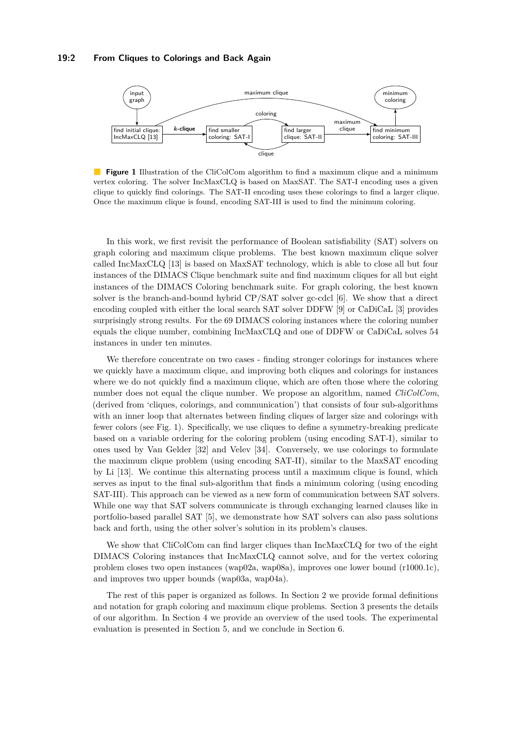<span id="page-1-0"></span>

**Figure 1** Illustration of the CliColCom algorithm to find a maximum clique and a minimum vertex coloring. The solver IncMaxCLQ is based on MaxSAT. The SAT-I encoding uses a given clique to quickly find colorings. The SAT-II encoding uses these colorings to find a larger clique. Once the maximum clique is found, encoding SAT-III is used to find the minimum coloring.

In this work, we first revisit the performance of Boolean satisfiability (SAT) solvers on graph coloring and maximum clique problems. The best known maximum clique solver called IncMaxCLQ [\[13\]](#page-8-8) is based on MaxSAT technology, which is able to close all but four instances of the DIMACS Clique benchmark suite and find maximum cliques for all but eight instances of the DIMACS Coloring benchmark suite. For graph coloring, the best known solver is the branch-and-bound hybrid CP/SAT solver gc-cdcl [\[6\]](#page-8-7). We show that a direct encoding coupled with either the local search SAT solver DDFW [\[9\]](#page-8-12) or CaDiCaL [\[3\]](#page-8-13) provides surprisingly strong results. For the 69 DIMACS coloring instances where the coloring number equals the clique number, combining IncMaxCLQ and one of DDFW or CaDiCaL solves 54 instances in under ten minutes.

We therefore concentrate on two cases - finding stronger colorings for instances where we quickly have a maximum clique, and improving both cliques and colorings for instances where we do not quickly find a maximum clique, which are often those where the coloring number does not equal the clique number. We propose an algorithm, named *CliColCom*, (derived from 'cliques, colorings, and communication') that consists of four sub-algorithms with an inner loop that alternates between finding cliques of larger size and colorings with fewer colors (see Fig. [1\)](#page-1-0). Specifically, we use cliques to define a symmetry-breaking predicate based on a variable ordering for the coloring problem (using encoding SAT-I), similar to ones used by Van Gelder [\[32\]](#page-9-2) and Velev [\[34\]](#page-9-11). Conversely, we use colorings to formulate the maximum clique problem (using encoding SAT-II), similar to the MaxSAT encoding by Li [\[13\]](#page-8-8). We continue this alternating process until a maximum clique is found, which serves as input to the final sub-algorithm that finds a minimum coloring (using encoding SAT-III). This approach can be viewed as a new form of communication between SAT solvers. While one way that SAT solvers communicate is through exchanging learned clauses like in portfolio-based parallel SAT [\[5\]](#page-8-14), we demonstrate how SAT solvers can also pass solutions back and forth, using the other solver's solution in its problem's clauses.

We show that CliColCom can find larger cliques than IncMaxCLQ for two of the eight DIMACS Coloring instances that IncMaxCLQ cannot solve, and for the vertex coloring problem closes two open instances (wap02a, wap08a), improves one lower bound (r1000.1c), and improves two upper bounds (wap03a, wap04a).

The rest of this paper is organized as follows. In Section [2](#page-2-0) we provide formal definitions and notation for graph coloring and maximum clique problems. Section [3](#page-2-1) presents the details of our algorithm. In Section [4](#page-4-0) we provide an overview of the used tools. The experimental evaluation is presented in Section [5,](#page-5-0) and we conclude in Section [6.](#page-7-0)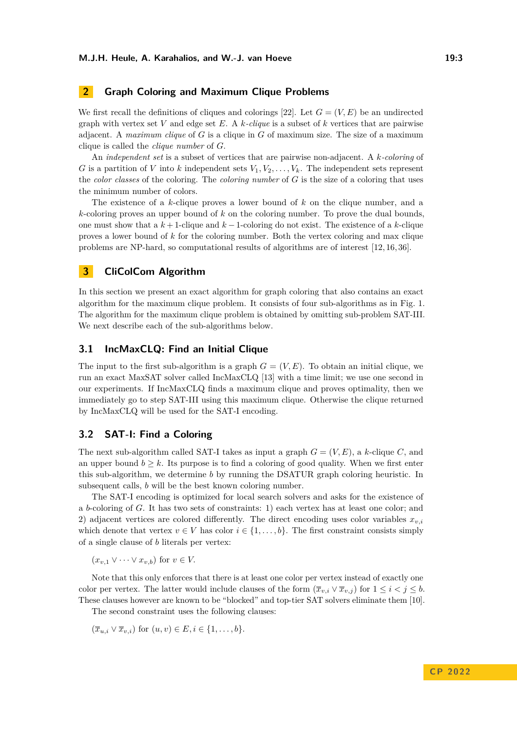## <span id="page-2-0"></span>**2 Graph Coloring and Maximum Clique Problems**

We first recall the definitions of cliques and colorings [\[22\]](#page-9-12). Let  $G = (V, E)$  be an undirected graph with vertex set *V* and edge set *E*. A *k-clique* is a subset of *k* vertices that are pairwise adjacent. A *maximum clique* of *G* is a clique in *G* of maximum size. The size of a maximum clique is called the *clique number* of *G*.

An *independent set* is a subset of vertices that are pairwise non-adjacent. A *k-coloring* of *G* is a partition of *V* into *k* independent sets  $V_1, V_2, \ldots, V_k$ . The independent sets represent the *color classes* of the coloring. The *coloring number* of *G* is the size of a coloring that uses the minimum number of colors.

The existence of a *k*-clique proves a lower bound of *k* on the clique number, and a *k*-coloring proves an upper bound of *k* on the coloring number. To prove the dual bounds, one must show that a *k* + 1-clique and *k* − 1-coloring do not exist. The existence of a *k*-clique proves a lower bound of *k* for the coloring number. Both the vertex coloring and max clique problems are NP-hard, so computational results of algorithms are of interest [\[12,](#page-8-15) [16,](#page-8-16) [36\]](#page-9-0).

## <span id="page-2-1"></span>**3 CliColCom Algorithm**

In this section we present an exact algorithm for graph coloring that also contains an exact algorithm for the maximum clique problem. It consists of four sub-algorithms as in Fig. [1.](#page-1-0) The algorithm for the maximum clique problem is obtained by omitting sub-problem SAT-III. We next describe each of the sub-algorithms below.

#### **3.1 IncMaxCLQ: Find an Initial Clique**

The input to the first sub-algorithm is a graph  $G = (V, E)$ . To obtain an initial clique, we run an exact MaxSAT solver called IncMaxCLQ [\[13\]](#page-8-8) with a time limit; we use one second in our experiments. If IncMaxCLQ finds a maximum clique and proves optimality, then we immediately go to step SAT-III using this maximum clique. Otherwise the clique returned by IncMaxCLQ will be used for the SAT-I encoding.

## **3.2 SAT-I: Find a Coloring**

The next sub-algorithm called SAT-I takes as input a graph *G* = (*V, E*), a *k*-clique *C*, and an upper bound  $b \geq k$ . Its purpose is to find a coloring of good quality. When we first enter this sub-algorithm, we determine *b* by running the DSATUR graph coloring heuristic. In subsequent calls, *b* will be the best known coloring number.

The SAT-I encoding is optimized for local search solvers and asks for the existence of a *b*-coloring of *G*. It has two sets of constraints: 1) each vertex has at least one color; and 2) adjacent vertices are colored differently. The direct encoding uses color variables  $x_{v,i}$ which denote that vertex  $v \in V$  has color  $i \in \{1, \ldots, b\}$ . The first constraint consists simply of a single clause of *b* literals per vertex:

 $(x_{v,1} \vee \cdots \vee x_{v,b})$  for  $v \in V$ .

Note that this only enforces that there is at least one color per vertex instead of exactly one color per vertex. The latter would include clauses of the form  $(\overline{x}_v, i \vee \overline{x}_v, j)$  for  $1 \leq i < j \leq b$ . These clauses however are known to be "blocked" and top-tier SAT solvers eliminate them [\[10\]](#page-8-17).

The second constraint uses the following clauses:

 $(\bar{x}_{u,i} \vee \bar{x}_{v,i})$  for  $(u, v) \in E, i \in \{1, ..., b\}.$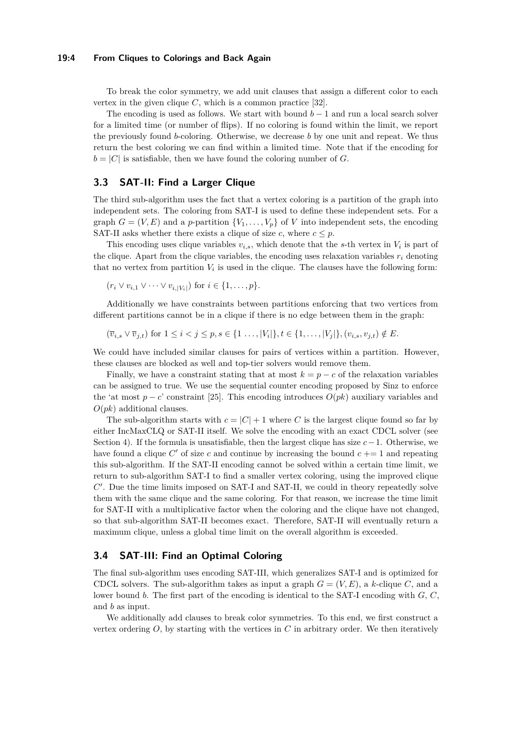#### **19:4 From Cliques to Colorings and Back Again**

To break the color symmetry, we add unit clauses that assign a different color to each vertex in the given clique  $C$ , which is a common practice  $[32]$ .

The encoding is used as follows. We start with bound  $b-1$  and run a local search solver for a limited time (or number of flips). If no coloring is found within the limit, we report the previously found *b*-coloring. Otherwise, we decrease *b* by one unit and repeat. We thus return the best coloring we can find within a limited time. Note that if the encoding for  $b = |C|$  is satisfiable, then we have found the coloring number of *G*.

#### **3.3 SAT-II: Find a Larger Clique**

The third sub-algorithm uses the fact that a vertex coloring is a partition of the graph into independent sets. The coloring from SAT-I is used to define these independent sets. For a graph  $G = (V, E)$  and a *p*-partition  $\{V_1, \ldots, V_p\}$  of *V* into independent sets, the encoding SAT-II asks whether there exists a clique of size *c*, where  $c \leq p$ .

This encoding uses clique variables  $v_{i,s}$ , which denote that the *s*-th vertex in  $V_i$  is part of the clique. Apart from the clique variables, the encoding uses relaxation variables  $r_i$  denoting that no vertex from partition  $V_i$  is used in the clique. The clauses have the following form:

$$
(r_i \vee v_{i,1} \vee \cdots \vee v_{i,|V_i|})
$$
 for  $i \in \{1,\ldots,p\}.$ 

Additionally we have constraints between partitions enforcing that two vertices from different partitions cannot be in a clique if there is no edge between them in the graph:

 $(\overline{v}_{i,s} \vee \overline{v}_{j,t})$  for  $1 \leq i < j \leq p, s \in \{1 \dots, |V_i|\}, t \in \{1, \dots, |V_j|\}, (v_{i,s}, v_{j,t}) \notin E$ .

We could have included similar clauses for pairs of vertices within a partition. However, these clauses are blocked as well and top-tier solvers would remove them.

Finally, we have a constraint stating that at most  $k = p - c$  of the relaxation variables can be assigned to true. We use the sequential counter encoding proposed by Sinz to enforce the 'at most  $p - c$ ' constraint [\[25\]](#page-9-13). This encoding introduces  $O(pk)$  auxiliary variables and *O*(*pk*) additional clauses.

The sub-algorithm starts with  $c = |C| + 1$  where *C* is the largest clique found so far by either IncMaxCLQ or SAT-II itself. We solve the encoding with an exact CDCL solver (see Section [4\)](#page-4-0). If the formula is unsatisfiable, then the largest clique has size *c*−1. Otherwise, we have found a clique  $C'$  of size  $c$  and continue by increasing the bound  $c += 1$  and repeating this sub-algorithm. If the SAT-II encoding cannot be solved within a certain time limit, we return to sub-algorithm SAT-I to find a smaller vertex coloring, using the improved clique *C* ′ . Due the time limits imposed on SAT-I and SAT-II, we could in theory repeatedly solve them with the same clique and the same coloring. For that reason, we increase the time limit for SAT-II with a multiplicative factor when the coloring and the clique have not changed, so that sub-algorithm SAT-II becomes exact. Therefore, SAT-II will eventually return a maximum clique, unless a global time limit on the overall algorithm is exceeded.

## **3.4 SAT-III: Find an Optimal Coloring**

The final sub-algorithm uses encoding SAT-III, which generalizes SAT-I and is optimized for CDCL solvers. The sub-algorithm takes as input a graph  $G = (V, E)$ , a *k*-clique *C*, and a lower bound *b*. The first part of the encoding is identical to the SAT-I encoding with *G*, *C*, and *b* as input.

We additionally add clauses to break color symmetries. To this end, we first construct a vertex ordering  $O$ , by starting with the vertices in  $C$  in arbitrary order. We then iteratively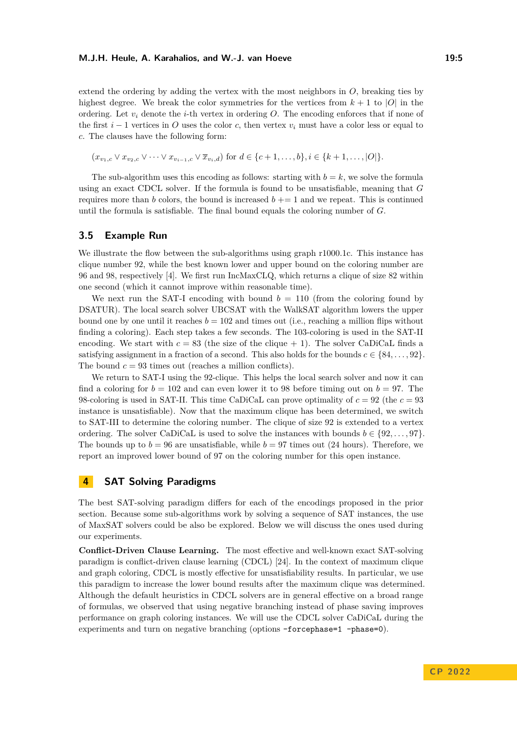#### **M.J.H. Heule, A. Karahalios, and W.-J. van Hoeve 19:5** 19:5

extend the ordering by adding the vertex with the most neighbors in *O*, breaking ties by highest degree. We break the color symmetries for the vertices from  $k + 1$  to |*O*| in the ordering. Let  $v_i$  denote the *i*-th vertex in ordering  $O$ . The encoding enforces that if none of the first  $i - 1$  vertices in *O* uses the color *c*, then vertex  $v_i$  must have a color less or equal to *c*. The clauses have the following form:

 $(x_{v_1,c} \vee x_{v_2,c} \vee \cdots \vee x_{v_{i-1},c} \vee \overline{x}_{v_i,d})$  for  $d \in \{c+1,\ldots,b\}, i \in \{k+1,\ldots,|O|\}.$ 

The sub-algorithm uses this encoding as follows: starting with  $b = k$ , we solve the formula using an exact CDCL solver. If the formula is found to be unsatisfiable, meaning that *G* requires more than *b* colors, the bound is increased  $b \neq 1$  and we repeat. This is continued until the formula is satisfiable. The final bound equals the coloring number of *G*.

## **3.5 Example Run**

We illustrate the flow between the sub-algorithms using graph r1000.1c. This instance has clique number 92, while the best known lower and upper bound on the coloring number are 96 and 98, respectively [\[4\]](#page-8-6). We first run IncMaxCLQ, which returns a clique of size 82 within one second (which it cannot improve within reasonable time).

We next run the SAT-I encoding with bound  $b = 110$  (from the coloring found by DSATUR). The local search solver UBCSAT with the WalkSAT algorithm lowers the upper bound one by one until it reaches  $b = 102$  and times out (i.e., reaching a million flips without finding a coloring). Each step takes a few seconds. The 103-coloring is used in the SAT-II encoding. We start with  $c = 83$  (the size of the clique  $+ 1$ ). The solver CaDiCaL finds a satisfying assignment in a fraction of a second. This also holds for the bounds  $c \in \{84, \ldots, 92\}$ . The bound  $c = 93$  times out (reaches a million conflicts).

We return to SAT-I using the 92-clique. This helps the local search solver and now it can find a coloring for  $b = 102$  and can even lower it to 98 before timing out on  $b = 97$ . The 98-coloring is used in SAT-II. This time CaDiCaL can prove optimality of *c* = 92 (the *c* = 93 instance is unsatisfiable). Now that the maximum clique has been determined, we switch to SAT-III to determine the coloring number. The clique of size 92 is extended to a vertex ordering. The solver CaDiCaL is used to solve the instances with bounds  $b \in \{92, \ldots, 97\}$ . The bounds up to  $b = 96$  are unsatisfiable, while  $b = 97$  times out (24 hours). Therefore, we report an improved lower bound of 97 on the coloring number for this open instance.

## <span id="page-4-0"></span>**4 SAT Solving Paradigms**

The best SAT-solving paradigm differs for each of the encodings proposed in the prior section. Because some sub-algorithms work by solving a sequence of SAT instances, the use of MaxSAT solvers could be also be explored. Below we will discuss the ones used during our experiments.

**Conflict-Driven Clause Learning.** The most effective and well-known exact SAT-solving paradigm is conflict-driven clause learning (CDCL) [\[24\]](#page-9-14). In the context of maximum clique and graph coloring, CDCL is mostly effective for unsatisfiability results. In particular, we use this paradigm to increase the lower bound results after the maximum clique was determined. Although the default heuristics in CDCL solvers are in general effective on a broad range of formulas, we observed that using negative branching instead of phase saving improves performance on graph coloring instances. We will use the CDCL solver CaDiCaL during the experiments and turn on negative branching (options –forcephase=1 –phase=0).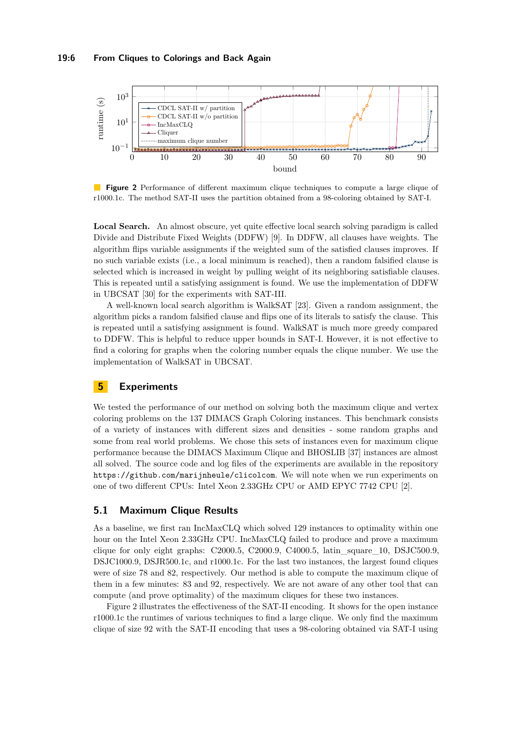<span id="page-5-1"></span>

**Figure 2** Performance of different maximum clique techniques to compute a large clique of r1000.1c. The method SAT-II uses the partition obtained from a 98-coloring obtained by SAT-I.

Local Search. An almost obscure, yet quite effective local search solving paradigm is called Divide and Distribute Fixed Weights (DDFW) [\[9\]](#page-8-12). In DDFW, all clauses have weights. The algorithm flips variable assignments if the weighted sum of the satisfied clauses improves. If no such variable exists (i.e., a local minimum is reached), then a random falsified clause is selected which is increased in weight by pulling weight of its neighboring satisfiable clauses. This is repeated until a satisfying assignment is found. We use the implementation of DDFW in UBCSAT [\[30\]](#page-9-15) for the experiments with SAT-III.

A well-known local search algorithm is WalkSAT [\[23\]](#page-9-16). Given a random assignment, the algorithm picks a random falsified clause and flips one of its literals to satisfy the clause. This is repeated until a satisfying assignment is found. WalkSAT is much more greedy compared to DDFW. This is helpful to reduce upper bounds in SAT-I. However, it is not effective to find a coloring for graphs when the coloring number equals the clique number. We use the implementation of WalkSAT in UBCSAT.

## <span id="page-5-0"></span>**5 Experiments**

We tested the performance of our method on solving both the maximum clique and vertex coloring problems on the 137 DIMACS Graph Coloring instances. This benchmark consists of a variety of instances with different sizes and densities - some random graphs and some from real world problems. We chose this sets of instances even for maximum clique performance because the DIMACS Maximum Clique and BHOSLIB [\[37\]](#page-9-17) instances are almost all solved. The source code and log files of the experiments are available in the repository <https://github.com/marijnheule/clicolcom>. We will note when we run experiments on one of two different CPUs: Intel Xeon 2.33GHz CPU or AMD EPYC 7742 CPU [\[2\]](#page-8-18).

## **5.1 Maximum Clique Results**

As a baseline, we first ran IncMaxCLQ which solved 129 instances to optimality within one hour on the Intel Xeon 2.33GHz CPU. IncMaxCLQ failed to produce and prove a maximum clique for only eight graphs: C2000.5, C2000.9, C4000.5, latin\_square\_10, DSJC500.9, DSJC1000.9, DSJR500.1c, and r1000.1c. For the last two instances, the largest found cliques were of size 78 and 82, respectively. Our method is able to compute the maximum clique of them in a few minutes: 83 and 92, respectively. We are not aware of any other tool that can compute (and prove optimality) of the maximum cliques for these two instances.

Figure [2](#page-5-1) illustrates the effectiveness of the SAT-II encoding. It shows for the open instance r1000.1c the runtimes of various techniques to find a large clique. We only find the maximum clique of size 92 with the SAT-II encoding that uses a 98-coloring obtained via SAT-I using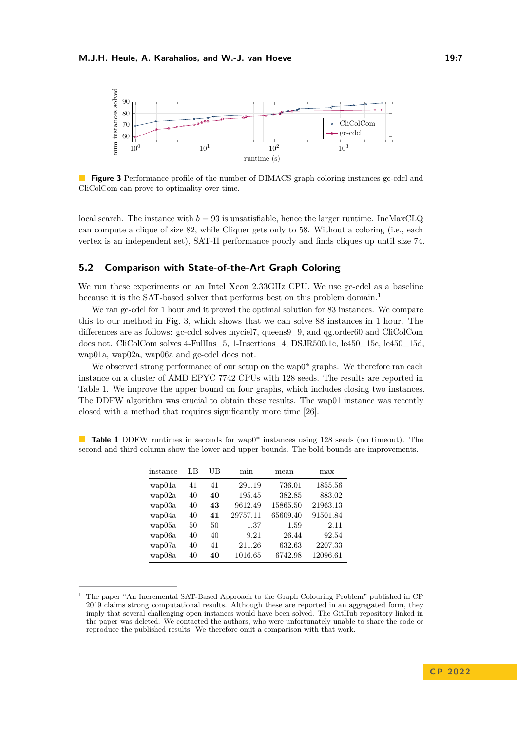<span id="page-6-1"></span>

**Figure 3** Performance profile of the number of DIMACS graph coloring instances gc-cdcl and CliColCom can prove to optimality over time.

local search. The instance with  $b = 93$  is unsatisfiable, hence the larger runtime. IncMaxCLQ can compute a clique of size 82, while Cliquer gets only to 58. Without a coloring (i.e., each vertex is an independent set), SAT-II performance poorly and finds cliques up until size 74.

### **5.2 Comparison with State-of-the-Art Graph Coloring**

We run these experiments on an Intel Xeon 2.33GHz CPU. We use gc-cdcl as a baseline because it is the SAT-based solver that performs best on this problem domain.<sup>[1](#page-6-0)</sup>

We ran gc-cdcl for 1 hour and it proved the optimal solution for 83 instances. We compare this to our method in Fig. [3,](#page-6-1) which shows that we can solve 88 instances in 1 hour. The differences are as follows: gc-cdcl solves myciel7, queens9\_9, and qg.order60 and CliColCom does not. CliColCom solves 4-FullIns\_5, 1-Insertions\_4, DSJR500.1c, le450\_15c, le450\_15d, wap01a, wap02a, wap06a and gc-cdcl does not.

We observed strong performance of our setup on the wap<sup> $\ddot{\theta}$ </sup> graphs. We therefore ran each instance on a cluster of AMD EPYC 7742 CPUs with 128 seeds. The results are reported in Table [1.](#page-6-2) We improve the upper bound on four graphs, which includes closing two instances. The DDFW algorithm was crucial to obtain these results. The wap01 instance was recently closed with a method that requires significantly more time [\[26\]](#page-9-3).

| instance | LB | UВ | min      | mean     | max      |
|----------|----|----|----------|----------|----------|
| wap01a   | 41 | 41 | 291.19   | 736.01   | 1855.56  |
| wap02a   | 40 | 40 | 195.45   | 382.85   | 883.02   |
| wap03a   | 40 | 43 | 9612.49  | 15865.50 | 21963.13 |
| wap04a   | 40 | 41 | 29757.11 | 65609.40 | 91501.84 |
| wap05a   | 50 | 50 | 1.37     | 1.59     | 2.11     |
| wap06a   | 40 | 40 | 9.21     | 26.44    | 92.54    |
| wap07a   | 40 | 41 | 211.26   | 632.63   | 2207.33  |
| wap08a   | 40 | 40 | 1016.65  | 6742.98  | 12096.61 |

<span id="page-6-2"></span>**Table 1** DDFW runtimes in seconds for wap0\* instances using 128 seeds (no timeout). The second and third column show the lower and upper bounds. The bold bounds are improvements.

<span id="page-6-0"></span><sup>1</sup> The paper "An Incremental SAT-Based Approach to the Graph Colouring Problem" published in CP 2019 claims strong computational results. Although these are reported in an aggregated form, they imply that several challenging open instances would have been solved. The GitHub repository linked in the paper was deleted. We contacted the authors, who were unfortunately unable to share the code or reproduce the published results. We therefore omit a comparison with that work.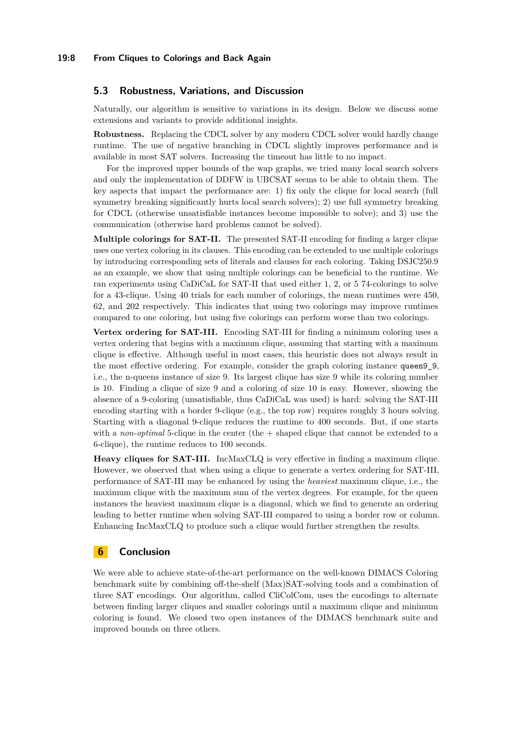## **5.3 Robustness, Variations, and Discussion**

Naturally, our algorithm is sensitive to variations in its design. Below we discuss some extensions and variants to provide additional insights.

**Robustness.** Replacing the CDCL solver by any modern CDCL solver would hardly change runtime. The use of negative branching in CDCL slightly improves performance and is available in most SAT solvers. Increasing the timeout has little to no impact.

For the improved upper bounds of the wap graphs, we tried many local search solvers and only the implementation of DDFW in UBCSAT seems to be able to obtain them. The key aspects that impact the performance are: 1) fix only the clique for local search (full symmetry breaking significantly hurts local search solvers); 2) use full symmetry breaking for CDCL (otherwise unsatisfiable instances become impossible to solve); and 3) use the communication (otherwise hard problems cannot be solved).

**Multiple colorings for SAT-II.** The presented SAT-II encoding for finding a larger clique uses one vertex coloring in its clauses. This encoding can be extended to use multiple colorings by introducing corresponding sets of literals and clauses for each coloring. Taking DSJC250.9 as an example, we show that using multiple colorings can be beneficial to the runtime. We ran experiments using CaDiCaL for SAT-II that used either 1, 2, or 5 74-colorings to solve for a 43-clique. Using 40 trials for each number of colorings, the mean runtimes were 450, 62, and 202 respectively. This indicates that using two colorings may improve runtimes compared to one coloring, but using five colorings can perform worse than two colorings.

**Vertex ordering for SAT-III.** Encoding SAT-III for finding a minimum coloring uses a vertex ordering that begins with a maximum clique, assuming that starting with a maximum clique is effective. Although useful in most cases, this heuristic does not always result in the most effective ordering. For example, consider the graph coloring instance queen9\_9, i.e., the n-queens instance of size 9. Its largest clique has size 9 while its coloring number is 10. Finding a clique of size 9 and a coloring of size 10 is easy. However, showing the absence of a 9-coloring (unsatisfiable, thus CaDiCaL was used) is hard: solving the SAT-III encoding starting with a border 9-clique (e.g., the top row) requires roughly 3 hours solving. Starting with a diagonal 9-clique reduces the runtime to 400 seconds. But, if one starts with a *non-optimal* 5-clique in the center (the  $+$  shaped clique that cannot be extended to a 6-clique), the runtime reduces to 100 seconds.

**Heavy cliques for SAT-III.** IncMaxCLQ is very effective in finding a maximum clique. However, we observed that when using a clique to generate a vertex ordering for SAT-III, performance of SAT-III may be enhanced by using the *heaviest* maximum clique, i.e., the maximum clique with the maximum sum of the vertex degrees. For example, for the queen instances the heaviest maximum clique is a diagonal, which we find to generate an ordering leading to better runtime when solving SAT-III compared to using a border row or column. Enhancing IncMaxCLQ to produce such a clique would further strengthen the results.

## <span id="page-7-0"></span>**6 Conclusion**

We were able to achieve state-of-the-art performance on the well-known DIMACS Coloring benchmark suite by combining off-the-shelf (Max)SAT-solving tools and a combination of three SAT encodings. Our algorithm, called CliColCom, uses the encodings to alternate between finding larger cliques and smaller colorings until a maximum clique and minimum coloring is found. We closed two open instances of the DIMACS benchmark suite and improved bounds on three others.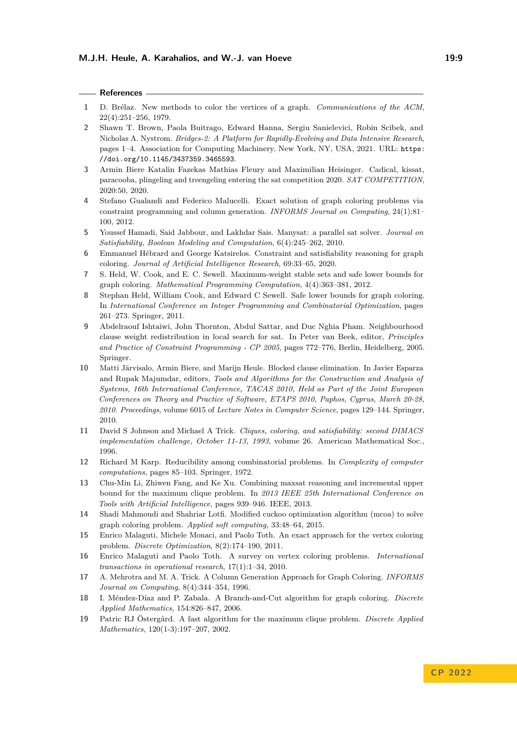#### **References**

- <span id="page-8-2"></span>**1** D. Brélaz. New methods to color the vertices of a graph. *Communications of the ACM*, 22(4):251–256, 1979.
- <span id="page-8-18"></span>**2** Shawn T. Brown, Paola Buitrago, Edward Hanna, Sergiu Sanielevici, Robin Scibek, and Nicholas A. Nystrom. *Bridges-2: A Platform for Rapidly-Evolving and Data Intensive Research*, pages 1–4. Association for Computing Machinery, New York, NY, USA, 2021. URL: [https:](https://doi.org/10.1145/3437359.3465593) [//doi.org/10.1145/3437359.3465593](https://doi.org/10.1145/3437359.3465593).
- <span id="page-8-13"></span>**3** Armin Biere Katalin Fazekas Mathias Fleury and Maximilian Heisinger. Cadical, kissat, paracooba, plingeling and treengeling entering the sat competition 2020. *SAT COMPETITION*, 2020:50, 2020.
- <span id="page-8-6"></span>**4** Stefano Gualandi and Federico Malucelli. Exact solution of graph coloring problems via constraint programming and column generation. *INFORMS Journal on Computing*, 24(1):81– 100, 2012.
- <span id="page-8-14"></span>**5** Youssef Hamadi, Said Jabbour, and Lakhdar Sais. Manysat: a parallel sat solver. *Journal on Satisfiability, Boolean Modeling and Computation*, 6(4):245–262, 2010.
- <span id="page-8-7"></span>**6** Emmanuel Hébrard and George Katsirelos. Constraint and satisfiability reasoning for graph coloring. *Journal of Artificial Intelligence Research*, 69:33–65, 2020.
- <span id="page-8-3"></span>**7** S. Held, W. Cook, and E. C. Sewell. Maximum-weight stable sets and safe lower bounds for graph coloring. *Mathematical Programming Computation*, 4(4):363–381, 2012.
- <span id="page-8-10"></span>**8** Stephan Held, William Cook, and Edward C Sewell. Safe lower bounds for graph coloring. In *International Conference on Integer Programming and Combinatorial Optimization*, pages 261–273. Springer, 2011.
- <span id="page-8-12"></span>**9** Abdelraouf Ishtaiwi, John Thornton, Abdul Sattar, and Duc Nghia Pham. Neighbourhood clause weight redistribution in local search for sat. In Peter van Beek, editor, *Principles and Practice of Constraint Programming - CP 2005*, pages 772–776, Berlin, Heidelberg, 2005. Springer.
- <span id="page-8-17"></span>**10** Matti Järvisalo, Armin Biere, and Marijn Heule. Blocked clause elimination. In Javier Esparza and Rupak Majumdar, editors, *Tools and Algorithms for the Construction and Analysis of Systems, 16th International Conference, TACAS 2010, Held as Part of the Joint European Conferences on Theory and Practice of Software, ETAPS 2010, Paphos, Cyprus, March 20-28, 2010. Proceedings*, volume 6015 of *Lecture Notes in Computer Science*, pages 129–144. Springer, 2010.
- <span id="page-8-0"></span>**11** David S Johnson and Michael A Trick. *Cliques, coloring, and satisfiability: second DIMACS implementation challenge, October 11-13, 1993*, volume 26. American Mathematical Soc., 1996.
- <span id="page-8-15"></span>**12** Richard M Karp. Reducibility among combinatorial problems. In *Complexity of computer computations*, pages 85–103. Springer, 1972.
- <span id="page-8-8"></span>**13** Chu-Min Li, Zhiwen Fang, and Ke Xu. Combining maxsat reasoning and incremental upper bound for the maximum clique problem. In *2013 IEEE 25th International Conference on Tools with Artificial Intelligence*, pages 939–946. IEEE, 2013.
- <span id="page-8-9"></span>**14** Shadi Mahmoudi and Shahriar Lotfi. Modified cuckoo optimization algorithm (mcoa) to solve graph coloring problem. *Applied soft computing*, 33:48–64, 2015.
- <span id="page-8-11"></span>**15** Enrico Malaguti, Michele Monaci, and Paolo Toth. An exact approach for the vertex coloring problem. *Discrete Optimization*, 8(2):174–190, 2011.
- <span id="page-8-16"></span>**16** Enrico Malaguti and Paolo Toth. A survey on vertex coloring problems. *International transactions in operational research*, 17(1):1–34, 2010.
- <span id="page-8-4"></span>**17** A. Mehrotra and M. A. Trick. A Column Generation Approach for Graph Coloring. *INFORMS Journal on Computing*, 8(4):344–354, 1996.
- <span id="page-8-5"></span>**18** I. Méndez-Díaz and P. Zabala. A Branch-and-Cut algorithm for graph coloring. *Discrete Applied Mathematics*, 154:826–847, 2006.
- <span id="page-8-1"></span>**19** Patric RJ Östergård. A fast algorithm for the maximum clique problem. *Discrete Applied Mathematics*, 120(1-3):197–207, 2002.